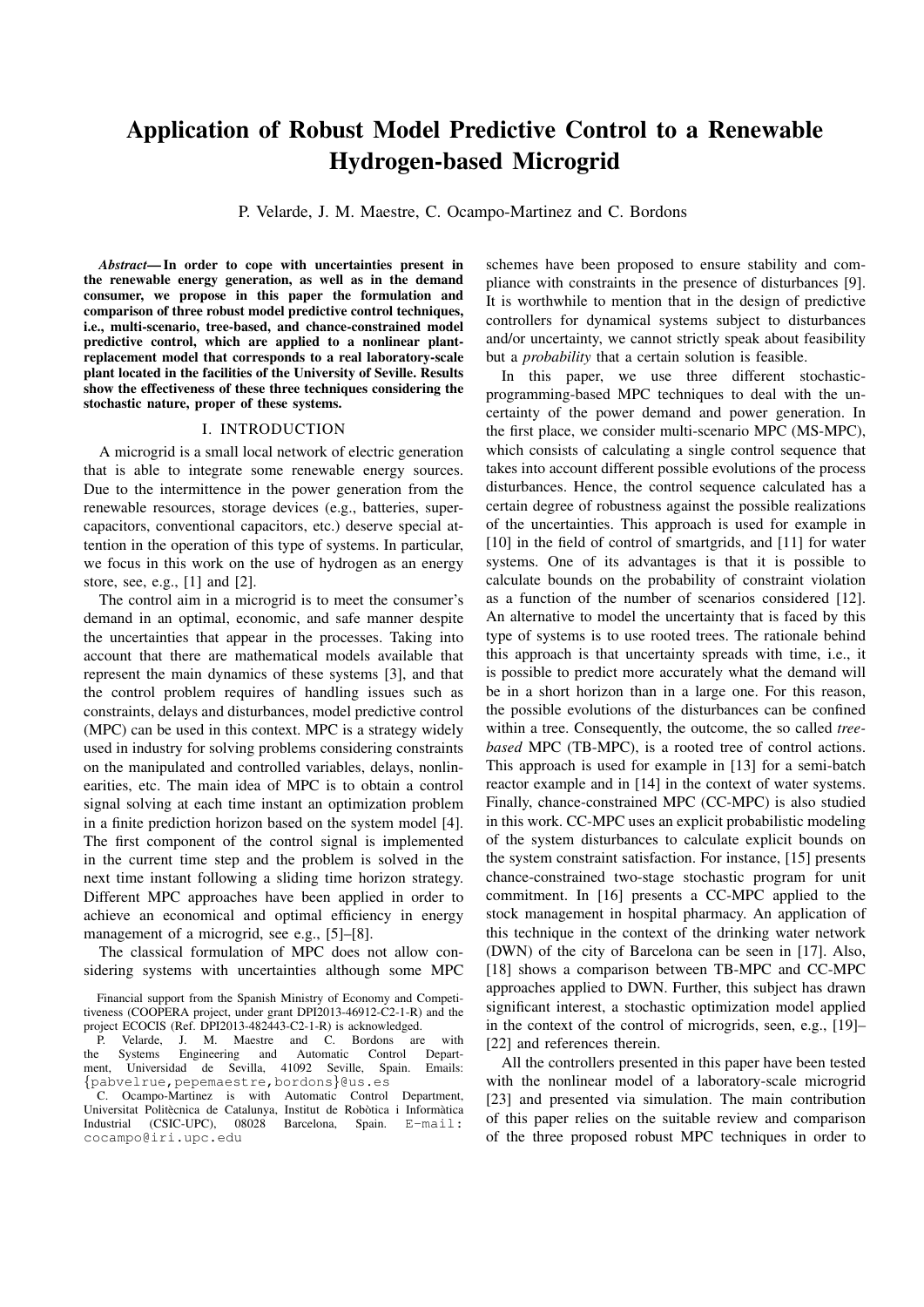# Application of Robust Model Predictive Control to a Renewable Hydrogen-based Microgrid

P. Velarde, J. M. Maestre, C. Ocampo-Martinez and C. Bordons

*Abstract*— In order to cope with uncertainties present in the renewable energy generation, as well as in the demand consumer, we propose in this paper the formulation and comparison of three robust model predictive control techniques, i.e., multi-scenario, tree-based, and chance-constrained model predictive control, which are applied to a nonlinear plantreplacement model that corresponds to a real laboratory-scale plant located in the facilities of the University of Seville. Results show the effectiveness of these three techniques considering the stochastic nature, proper of these systems.

#### I. INTRODUCTION

A microgrid is a small local network of electric generation that is able to integrate some renewable energy sources. Due to the intermittence in the power generation from the renewable resources, storage devices (e.g., batteries, supercapacitors, conventional capacitors, etc.) deserve special attention in the operation of this type of systems. In particular, we focus in this work on the use of hydrogen as an energy store, see, e.g., [1] and [2].

The control aim in a microgrid is to meet the consumer's demand in an optimal, economic, and safe manner despite the uncertainties that appear in the processes. Taking into account that there are mathematical models available that represent the main dynamics of these systems [3], and that the control problem requires of handling issues such as constraints, delays and disturbances, model predictive control (MPC) can be used in this context. MPC is a strategy widely used in industry for solving problems considering constraints on the manipulated and controlled variables, delays, nonlinearities, etc. The main idea of MPC is to obtain a control signal solving at each time instant an optimization problem in a finite prediction horizon based on the system model [4]. The first component of the control signal is implemented in the current time step and the problem is solved in the next time instant following a sliding time horizon strategy. Different MPC approaches have been applied in order to achieve an economical and optimal efficiency in energy management of a microgrid, see e.g., [5]–[8].

The classical formulation of MPC does not allow considering systems with uncertainties although some MPC schemes have been proposed to ensure stability and compliance with constraints in the presence of disturbances [9]. It is worthwhile to mention that in the design of predictive controllers for dynamical systems subject to disturbances and/or uncertainty, we cannot strictly speak about feasibility but a *probability* that a certain solution is feasible.

In this paper, we use three different stochasticprogramming-based MPC techniques to deal with the uncertainty of the power demand and power generation. In the first place, we consider multi-scenario MPC (MS-MPC), which consists of calculating a single control sequence that takes into account different possible evolutions of the process disturbances. Hence, the control sequence calculated has a certain degree of robustness against the possible realizations of the uncertainties. This approach is used for example in [10] in the field of control of smartgrids, and [11] for water systems. One of its advantages is that it is possible to calculate bounds on the probability of constraint violation as a function of the number of scenarios considered [12]. An alternative to model the uncertainty that is faced by this type of systems is to use rooted trees. The rationale behind this approach is that uncertainty spreads with time, i.e., it is possible to predict more accurately what the demand will be in a short horizon than in a large one. For this reason, the possible evolutions of the disturbances can be confined within a tree. Consequently, the outcome, the so called *treebased* MPC (TB-MPC), is a rooted tree of control actions. This approach is used for example in [13] for a semi-batch reactor example and in [14] in the context of water systems. Finally, chance-constrained MPC (CC-MPC) is also studied in this work. CC-MPC uses an explicit probabilistic modeling of the system disturbances to calculate explicit bounds on the system constraint satisfaction. For instance, [15] presents chance-constrained two-stage stochastic program for unit commitment. In [16] presents a CC-MPC applied to the stock management in hospital pharmacy. An application of this technique in the context of the drinking water network (DWN) of the city of Barcelona can be seen in [17]. Also, [18] shows a comparison between TB-MPC and CC-MPC approaches applied to DWN. Further, this subject has drawn significant interest, a stochastic optimization model applied in the context of the control of microgrids, seen, e.g., [19]– [22] and references therein.

All the controllers presented in this paper have been tested with the nonlinear model of a laboratory-scale microgrid [23] and presented via simulation. The main contribution of this paper relies on the suitable review and comparison of the three proposed robust MPC techniques in order to

Financial support from the Spanish Ministry of Economy and Competitiveness (COOPERA project, under grant DPI2013-46912-C2-1-R) and the project ECOCIS (Ref. DPI2013-482443-C2-1-R) is acknowledged.

P. Velarde, J. M. Maestre and C. Bordons are with the Systems Engineering and Automatic Control Department, Universidad de Sevilla, 41092 Seville, Spain. Emails: *{*pabvelrue,pepemaestre,bordons*}*@us.es

C. Ocampo-Martinez is with Automatic Control Department, Universitat Politècnica de Catalunya, Institut de Robòtica i Informàtica Industrial (CSIC-UPC), 08028 Barcelona, Spain. E-mail: cocampo@iri.upc.edu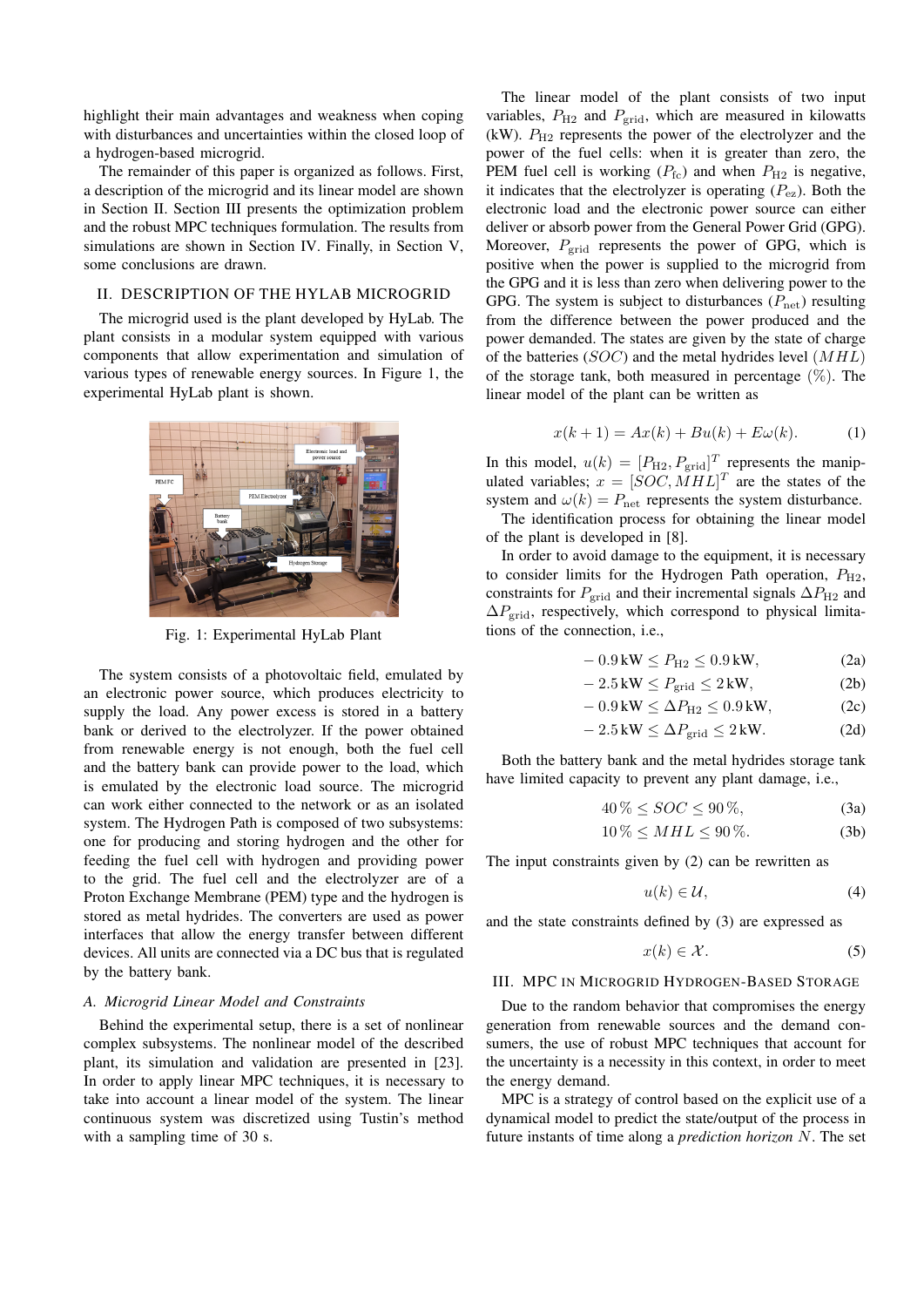highlight their main advantages and weakness when coping with disturbances and uncertainties within the closed loop of a hydrogen-based microgrid.

The remainder of this paper is organized as follows. First, a description of the microgrid and its linear model are shown in Section II. Section III presents the optimization problem and the robust MPC techniques formulation. The results from simulations are shown in Section IV. Finally, in Section V, some conclusions are drawn.

# II. DESCRIPTION OF THE HYLAB MICROGRID

The microgrid used is the plant developed by HyLab. The plant consists in a modular system equipped with various components that allow experimentation and simulation of various types of renewable energy sources. In Figure 1, the experimental HyLab plant is shown.



Fig. 1: Experimental HyLab Plant

The system consists of a photovoltaic field, emulated by an electronic power source, which produces electricity to supply the load. Any power excess is stored in a battery bank or derived to the electrolyzer. If the power obtained from renewable energy is not enough, both the fuel cell and the battery bank can provide power to the load, which is emulated by the electronic load source. The microgrid can work either connected to the network or as an isolated system. The Hydrogen Path is composed of two subsystems: one for producing and storing hydrogen and the other for feeding the fuel cell with hydrogen and providing power to the grid. The fuel cell and the electrolyzer are of a Proton Exchange Membrane (PEM) type and the hydrogen is stored as metal hydrides. The converters are used as power interfaces that allow the energy transfer between different devices. All units are connected via a DC bus that is regulated by the battery bank.

# *A. Microgrid Linear Model and Constraints*

Behind the experimental setup, there is a set of nonlinear complex subsystems. The nonlinear model of the described plant, its simulation and validation are presented in [23]. In order to apply linear MPC techniques, it is necessary to take into account a linear model of the system. The linear continuous system was discretized using Tustin's method with a sampling time of 30 s.

The linear model of the plant consists of two input variables,  $P_{\text{H2}}$  and  $P_{\text{grid}}$ , which are measured in kilowatts (kW).  $P_{\text{H2}}$  represents the power of the electrolyzer and the power of the fuel cells: when it is greater than zero, the PEM fuel cell is working  $(P_{\text{fc}})$  and when  $P_{\text{H2}}$  is negative, it indicates that the electrolyzer is operating  $(P_{\rm ez})$ . Both the electronic load and the electronic power source can either deliver or absorb power from the General Power Grid (GPG). Moreover,  $P_{grid}$  represents the power of GPG, which is positive when the power is supplied to the microgrid from the GPG and it is less than zero when delivering power to the GPG. The system is subject to disturbances ( $P_{\text{net}}$ ) resulting from the difference between the power produced and the power demanded. The states are given by the state of charge of the batteries (*SOC*) and the metal hydrides level (*MHL*) of the storage tank, both measured in percentage  $(\%)$ . The linear model of the plant can be written as

$$
x(k+1) = Ax(k) + Bu(k) + E\omega(k).
$$
 (1)

In this model,  $u(k) = [P_{H2}, P_{grid}]^T$  represents the manipulated variables;  $x = [SOC, MHL]^T$  are the states of the system and  $\omega(k) = P_{\text{net}}$  represents the system disturbance.

The identification process for obtaining the linear model of the plant is developed in [8].

In order to avoid damage to the equipment, it is necessary to consider limits for the Hydrogen Path operation,  $P_{H2}$ , constraints for  $P_{\text{grid}}$  and their incremental signals  $\Delta P_{\text{H2}}$  and ∆*P*grid, respectively, which correspond to physical limitations of the connection, i.e.,

$$
-0.9\,\text{kW} \le P_{\text{H2}} \le 0.9\,\text{kW},\tag{2a}
$$

$$
-2.5 \,\text{kW} \le P_{\text{grid}} \le 2 \,\text{kW},\tag{2b}
$$

$$
-0.9\,\text{kW} \le \Delta P_{\text{H2}} \le 0.9\,\text{kW},\tag{2c}
$$

$$
-2.5 \,\text{kW} \le \Delta P_{\text{grid}} \le 2 \,\text{kW}.\tag{2d}
$$

Both the battery bank and the metal hydrides storage tank have limited capacity to prevent any plant damage, i.e.,

$$
40\% \leq SOC \leq 90\%,\tag{3a}
$$

$$
10\% \leq MHL \leq 90\%.
$$
 (3b)

The input constraints given by (2) can be rewritten as

$$
u(k) \in \mathcal{U},\tag{4}
$$

and the state constraints defined by (3) are expressed as

$$
x(k) \in \mathcal{X}.\tag{5}
$$

## III. MPC IN MICROGRID HYDROGEN-BASED STORAGE

Due to the random behavior that compromises the energy generation from renewable sources and the demand consumers, the use of robust MPC techniques that account for the uncertainty is a necessity in this context, in order to meet the energy demand.

MPC is a strategy of control based on the explicit use of a dynamical model to predict the state/output of the process in future instants of time along a *prediction horizon N*. The set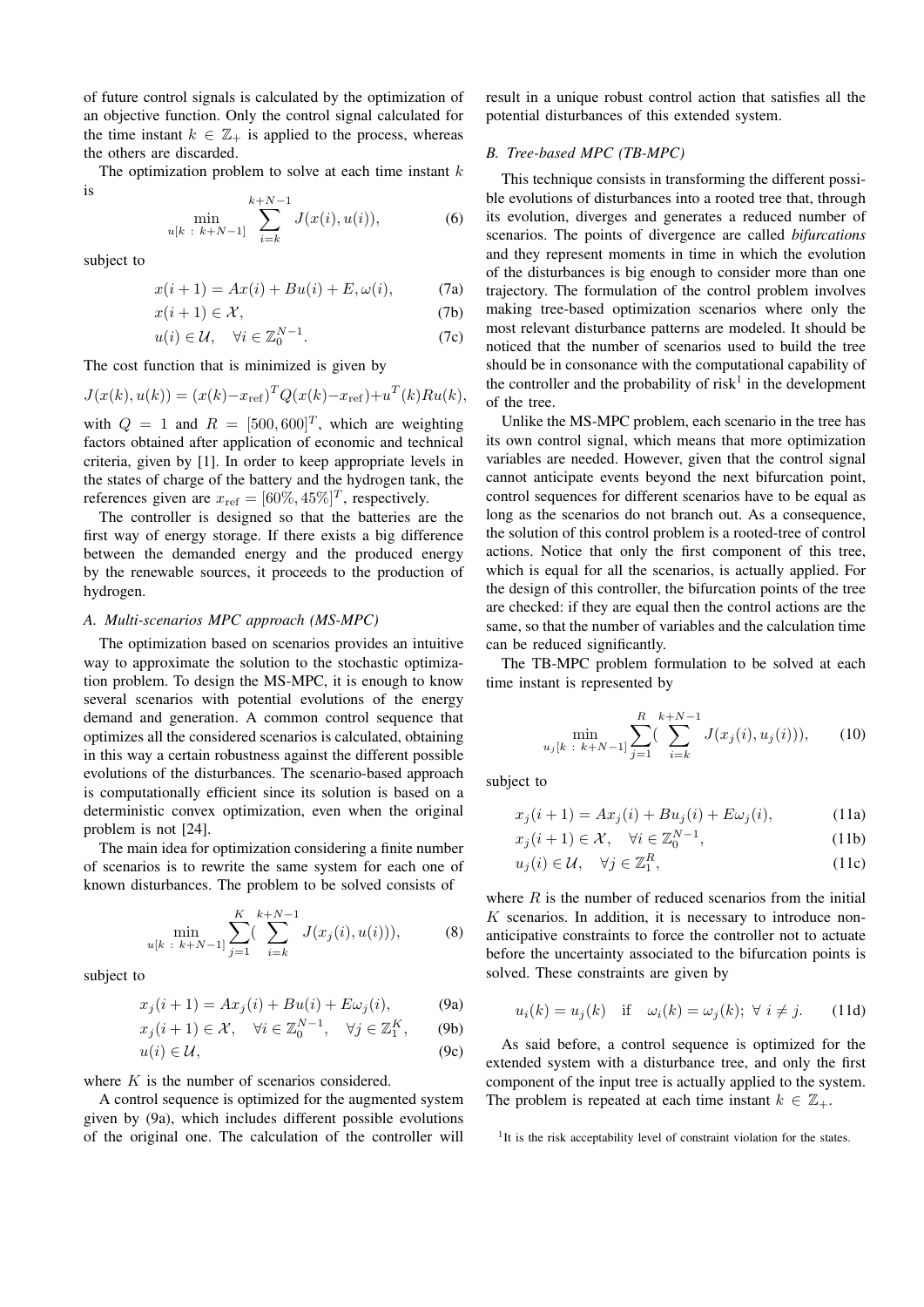of future control signals is calculated by the optimization of an objective function. Only the control signal calculated for the time instant  $k \in \mathbb{Z}_+$  is applied to the process, whereas the others are discarded.

The optimization problem to solve at each time instant *k* is

$$
\min_{u[k\;:\;k+N-1]} \sum_{i=k}^{k+N-1} J(x(i), u(i)),\tag{6}
$$

subject to

$$
x(i + 1) = Ax(i) + Bu(i) + E, \omega(i),
$$
 (7a)

$$
x(i+1) \in \mathcal{X},\tag{7b}
$$

$$
u(i) \in \mathcal{U}, \quad \forall i \in \mathbb{Z}_0^{N-1}.
$$
 (7c)

The cost function that is minimized is given by

$$
J(x(k), u(k)) = (x(k) - x_{ref})^T Q(x(k) - x_{ref}) + u^T(k)Ru(k),
$$

with  $Q = 1$  and  $R = [500, 600]^T$ , which are weighting factors obtained after application of economic and technical criteria, given by [1]. In order to keep appropriate levels in the states of charge of the battery and the hydrogen tank, the references given are  $x_{ref} = [60\%, 45\%]^T$ , respectively.

The controller is designed so that the batteries are the first way of energy storage. If there exists a big difference between the demanded energy and the produced energy by the renewable sources, it proceeds to the production of hydrogen.

# *A. Multi-scenarios MPC approach (MS-MPC)*

The optimization based on scenarios provides an intuitive way to approximate the solution to the stochastic optimization problem. To design the MS-MPC, it is enough to know several scenarios with potential evolutions of the energy demand and generation. A common control sequence that optimizes all the considered scenarios is calculated, obtaining in this way a certain robustness against the different possible evolutions of the disturbances. The scenario-based approach is computationally efficient since its solution is based on a deterministic convex optimization, even when the original problem is not [24].

The main idea for optimization considering a finite number of scenarios is to rewrite the same system for each one of known disturbances. The problem to be solved consists of

$$
\min_{u[k \; : \; k+N-1]} \sum_{j=1}^{K} (\sum_{i=k}^{k+N-1} J(x_j(i), u(i))), \tag{8}
$$

subject to

$$
x_j(i+1) = Ax_j(i) + Bu(i) + E\omega_j(i), \tag{9a}
$$

$$
x_j(i + 1) \in \mathcal{X}, \quad \forall i \in \mathbb{Z}_0^{N-1}, \quad \forall j \in \mathbb{Z}_1^K, \qquad (9b)
$$

$$
u(i) \in \mathcal{U},\tag{9c}
$$

where *K* is the number of scenarios considered.

A control sequence is optimized for the augmented system given by (9a), which includes different possible evolutions of the original one. The calculation of the controller will

result in a unique robust control action that satisfies all the potential disturbances of this extended system.

## *B. Tree-based MPC (TB-MPC)*

This technique consists in transforming the different possible evolutions of disturbances into a rooted tree that, through its evolution, diverges and generates a reduced number of scenarios. The points of divergence are called *bifurcations* and they represent moments in time in which the evolution of the disturbances is big enough to consider more than one trajectory. The formulation of the control problem involves making tree-based optimization scenarios where only the most relevant disturbance patterns are modeled. It should be noticed that the number of scenarios used to build the tree should be in consonance with the computational capability of the controller and the probability of risk<sup>1</sup> in the development of the tree.

Unlike the MS-MPC problem, each scenario in the tree has its own control signal, which means that more optimization variables are needed. However, given that the control signal cannot anticipate events beyond the next bifurcation point, control sequences for different scenarios have to be equal as long as the scenarios do not branch out. As a consequence, the solution of this control problem is a rooted-tree of control actions. Notice that only the first component of this tree, which is equal for all the scenarios, is actually applied. For the design of this controller, the bifurcation points of the tree are checked: if they are equal then the control actions are the same, so that the number of variables and the calculation time can be reduced significantly.

The TB-MPC problem formulation to be solved at each time instant is represented by

$$
\min_{u_j[k \; : \; k+N-1]} \sum_{j=1}^R (\sum_{i=k}^{k+N-1} J(x_j(i), u_j(i))), \qquad (10)
$$

subject to

$$
x_j(i + 1) = Ax_j(i) + Bu_j(i) + E\omega_j(i),
$$
 (11a)

$$
x_j(i+1) \in \mathcal{X}, \quad \forall i \in \mathbb{Z}_0^{N-1}, \tag{11b}
$$

$$
u_j(i) \in \mathcal{U}, \quad \forall j \in \mathbb{Z}_1^R, \tag{11c}
$$

where *R* is the number of reduced scenarios from the initial *K* scenarios. In addition, it is necessary to introduce nonanticipative constraints to force the controller not to actuate before the uncertainty associated to the bifurcation points is solved. These constraints are given by

$$
u_i(k) = u_j(k) \quad \text{if} \quad \omega_i(k) = \omega_j(k); \ \forall \ i \neq j. \tag{11d}
$$

As said before, a control sequence is optimized for the extended system with a disturbance tree, and only the first component of the input tree is actually applied to the system. The problem is repeated at each time instant  $k \in \mathbb{Z}_+$ .

<sup>&</sup>lt;sup>1</sup>It is the risk acceptability level of constraint violation for the states.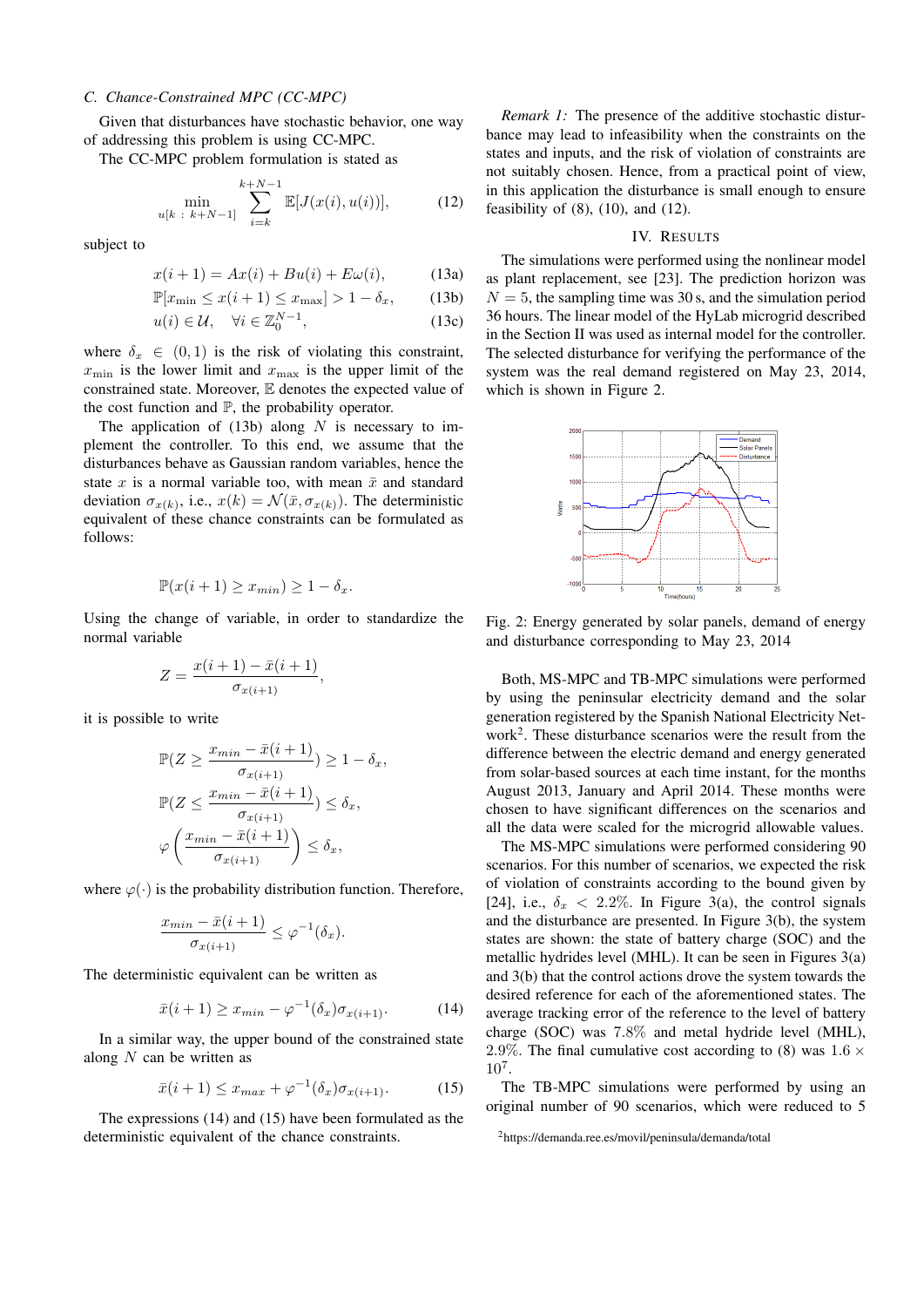# *C. Chance-Constrained MPC (CC-MPC)*

Given that disturbances have stochastic behavior, one way of addressing this problem is using CC-MPC.

The CC-MPC problem formulation is stated as

$$
\min_{u[k\;:\;k+N-1]} \sum_{i=k}^{k+N-1} \mathbb{E}[J(x(i), u(i))],\tag{12}
$$

subject to

$$
x(i+1) = Ax(i) + Bu(i) + E\omega(i), \tag{13a}
$$

$$
\mathbb{P}[x_{\min} \le x(i+1) \le x_{\max}] > 1 - \delta_x, \qquad (13b)
$$

$$
u(i) \in \mathcal{U}, \quad \forall i \in \mathbb{Z}_0^{N-1}, \tag{13c}
$$

where  $\delta_x \in (0,1)$  is the risk of violating this constraint,  $x_{\text{min}}$  is the lower limit and  $x_{\text{max}}$  is the upper limit of the constrained state. Moreover, E denotes the expected value of the cost function and  $\mathbb{P}$ , the probability operator.

The application of  $(13b)$  along *N* is necessary to implement the controller. To this end, we assume that the disturbances behave as Gaussian random variables, hence the state  $x$  is a normal variable too, with mean  $\bar{x}$  and standard deviation  $\sigma_{x(k)}$ , i.e.,  $x(k) = \mathcal{N}(\bar{x}, \sigma_{x(k)})$ . The deterministic equivalent of these chance constraints can be formulated as follows:

$$
\mathbb{P}(x(i+1) \ge x_{min}) \ge 1 - \delta_x.
$$

Using the change of variable, in order to standardize the normal variable

$$
Z = \frac{x(i + 1) - \bar{x}(i + 1)}{\sigma_{x(i + 1)}},
$$

it is possible to write

$$
\mathbb{P}(Z \ge \frac{x_{min} - \bar{x}(i+1)}{\sigma_{x(i+1)}}) \ge 1 - \delta_x,
$$
  

$$
\mathbb{P}(Z \le \frac{x_{min} - \bar{x}(i+1)}{\sigma_{x(i+1)}}) \le \delta_x,
$$
  

$$
\varphi\left(\frac{x_{min} - \bar{x}(i+1)}{\sigma_{x(i+1)}}\right) \le \delta_x,
$$

where  $\varphi(\cdot)$  is the probability distribution function. Therefore,

$$
\frac{x_{min} - \bar{x}(i+1)}{\sigma_{x(i+1)}} \leq \varphi^{-1}(\delta_x).
$$

The deterministic equivalent can be written as

$$
\bar{x}(i+1) \ge x_{min} - \varphi^{-1}(\delta_x)\sigma_{x(i+1)}.\tag{14}
$$

In a similar way, the upper bound of the constrained state along *N* can be written as

$$
\bar{x}(i+1) \le x_{max} + \varphi^{-1}(\delta_x)\sigma_{x(i+1)}.\tag{15}
$$

The expressions (14) and (15) have been formulated as the deterministic equivalent of the chance constraints.

*Remark 1:* The presence of the additive stochastic disturbance may lead to infeasibility when the constraints on the states and inputs, and the risk of violation of constraints are not suitably chosen. Hence, from a practical point of view, in this application the disturbance is small enough to ensure feasibility of  $(8)$ ,  $(10)$ , and  $(12)$ .

#### IV. RESULTS

The simulations were performed using the nonlinear model as plant replacement, see [23]. The prediction horizon was  $N = 5$ , the sampling time was 30 s, and the simulation period 36 hours. The linear model of the HyLab microgrid described in the Section II was used as internal model for the controller. The selected disturbance for verifying the performance of the system was the real demand registered on May 23, 2014, which is shown in Figure 2.



Fig. 2: Energy generated by solar panels, demand of energy and disturbance corresponding to May 23, 2014

Both, MS-MPC and TB-MPC simulations were performed by using the peninsular electricity demand and the solar generation registered by the Spanish National Electricity Network<sup>2</sup> . These disturbance scenarios were the result from the difference between the electric demand and energy generated from solar-based sources at each time instant, for the months August 2013, January and April 2014. These months were chosen to have significant differences on the scenarios and all the data were scaled for the microgrid allowable values.

The MS-MPC simulations were performed considering 90 scenarios. For this number of scenarios, we expected the risk of violation of constraints according to the bound given by [24], i.e.,  $\delta_x$  < 2.2%. In Figure 3(a), the control signals and the disturbance are presented. In Figure 3(b), the system states are shown: the state of battery charge (SOC) and the metallic hydrides level (MHL). It can be seen in Figures 3(a) and 3(b) that the control actions drove the system towards the desired reference for each of the aforementioned states. The average tracking error of the reference to the level of battery charge (SOC) was 7*.*8% and metal hydride level (MHL), 2*.*9%. The final cumulative cost according to (8) was 1*.*6 *×* 10<sup>7</sup> .

The TB-MPC simulations were performed by using an original number of 90 scenarios, which were reduced to 5

<sup>2</sup>https://demanda.ree.es/movil/peninsula/demanda/total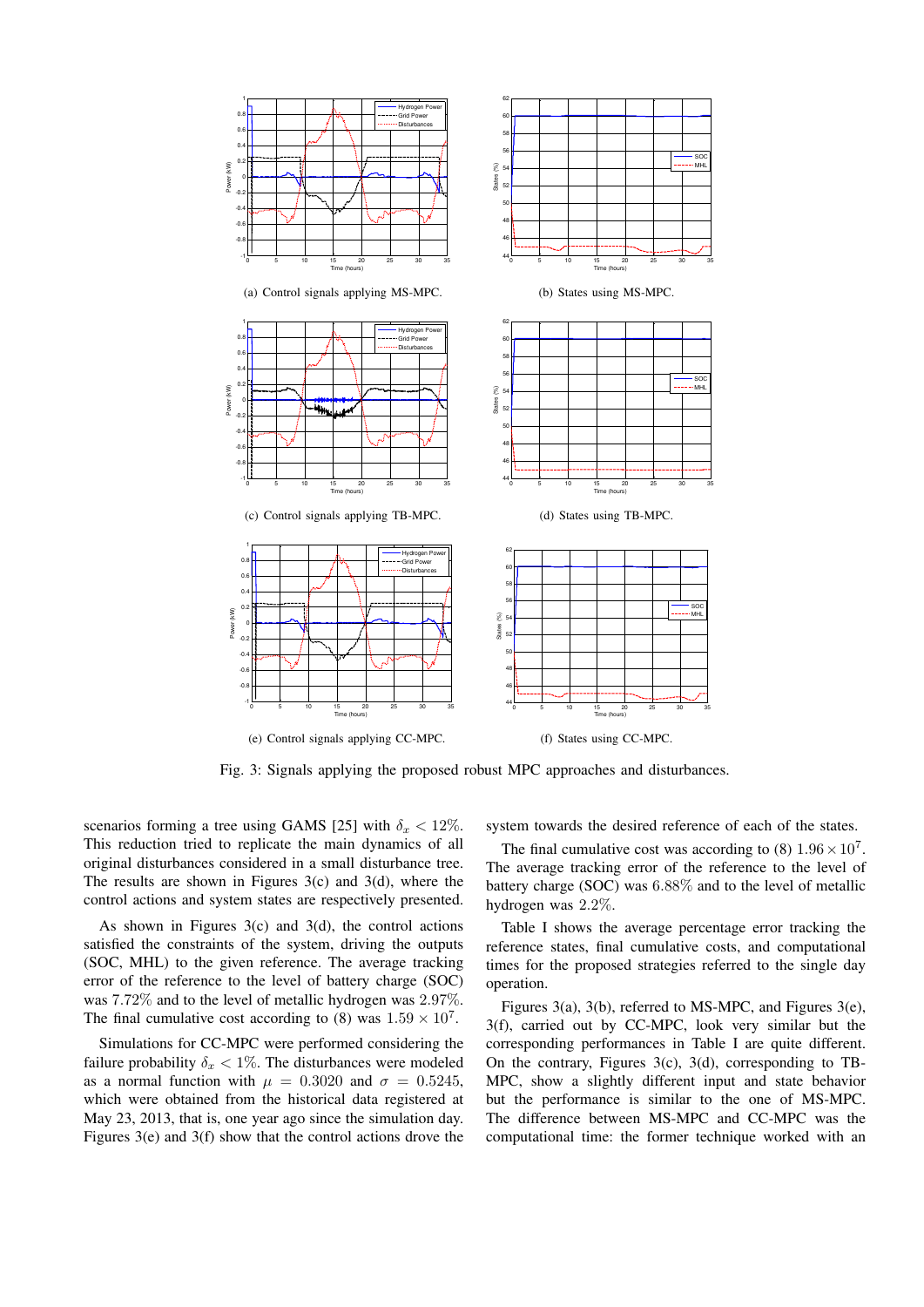

Fig. 3: Signals applying the proposed robust MPC approaches and disturbances.

scenarios forming a tree using GAMS [25] with  $\delta_x < 12\%$ . This reduction tried to replicate the main dynamics of all original disturbances considered in a small disturbance tree. The results are shown in Figures  $3(c)$  and  $3(d)$ , where the control actions and system states are respectively presented.

As shown in Figures  $3(c)$  and  $3(d)$ , the control actions satisfied the constraints of the system, driving the outputs (SOC, MHL) to the given reference. The average tracking error of the reference to the level of battery charge (SOC) was 7*.*72% and to the level of metallic hydrogen was 2*.*97%. The final cumulative cost according to (8) was  $1.59 \times 10^7$ .

Simulations for CC-MPC were performed considering the failure probability  $\delta_x < 1\%$ . The disturbances were modeled as a normal function with  $\mu = 0.3020$  and  $\sigma = 0.5245$ , which were obtained from the historical data registered at May 23, 2013, that is, one year ago since the simulation day. Figures 3(e) and 3(f) show that the control actions drove the

system towards the desired reference of each of the states.

The final cumulative cost was according to  $(8)$   $1.96 \times 10^7$ . The average tracking error of the reference to the level of battery charge (SOC) was 6*.*88% and to the level of metallic hydrogen was 2*.*2%.

Table I shows the average percentage error tracking the reference states, final cumulative costs, and computational times for the proposed strategies referred to the single day operation.

Figures 3(a), 3(b), referred to MS-MPC, and Figures 3(e), 3(f), carried out by CC-MPC, look very similar but the corresponding performances in Table I are quite different. On the contrary, Figures  $3(c)$ ,  $3(d)$ , corresponding to TB-MPC, show a slightly different input and state behavior but the performance is similar to the one of MS-MPC. The difference between MS-MPC and CC-MPC was the computational time: the former technique worked with an